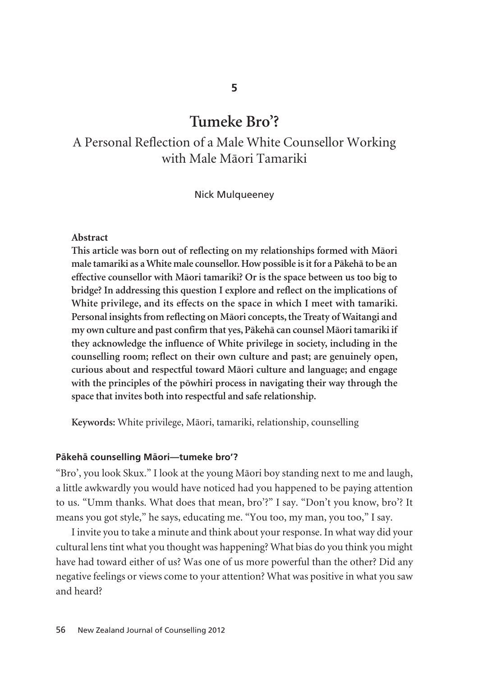# **Tumeke Bro'?**

# A Personal Reflection of a Male White Counsellor Working with Male Mäori Tamariki

#### Nick Mulqueeney

#### **Abstract**

**This article was born out of reflecting on my relationships formed with Mäori male tamariki as a White male counsellor. How possible is it for a Päkehä to be an effective counsellor with Mäori tamariki? Or is the space between us too big to bridge? In addressing this question I explore and reflect on the implications of White privilege, and its effects on the space in which I meet with tamariki. Personal insights from reflecting on Mäori concepts, the Treaty of Waitangi and my own culture and past confirm that yes, Päkehä can counsel Mäori tamariki if they acknowledge the influence of White privilege in society, including in the counselling room; reflect on their own culture and past; are genuinely open, curious about and respectful toward Mäori culture and language; and engage with the principles of the pöwhiri process in navigating their way through the space that invites both into respectful and safe relationship.** 

**Keywords:** White privilege, Mäori, tamariki, relationship, counselling

#### **Päkehä counselling Mäori—tumeke bro'?**

"Bro', you look Skux." I look at the young Mäori boy standing next to me and laugh, a little awkwardly you would have noticed had you happened to be paying attention to us. "Umm thanks. What does that mean, bro'?" I say. "Don't you know, bro'? It means you got style," he says, educating me. "You too, my man, you too," I say.

I invite you to take a minute and think about your response. In what way did your cultural lens tint what you thought was happening? What bias do you think you might have had toward either of us? Was one of us more powerful than the other? Did any negative feelings or views come to your attention? What was positive in what you saw and heard?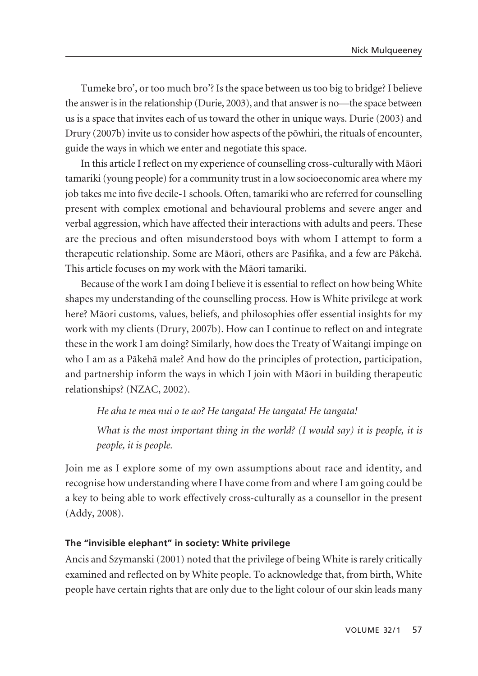Tumeke bro', or too much bro'? Is the space between us too big to bridge? I believe the answer is in the relationship (Durie, 2003), and that answer is no—the space between us is a space that invites each of us toward the other in unique ways. Durie (2003) and Drury (2007b) invite us to consider how aspects of the pöwhiri, the rituals of encounter, guide the ways in which we enter and negotiate this space.

In this article I reflect on my experience of counselling cross-culturally with Mäori tamariki (young people) for a community trust in a low socioeconomic area where my job takes me into five decile-1 schools. Often, tamariki who are referred for counselling present with complex emotional and behavioural problems and severe anger and verbal aggression, which have affected their interactions with adults and peers. These are the precious and often misunderstood boys with whom I attempt to form a therapeutic relationship. Some are Mäori, others are Pasifika, and a few are Päkehä. This article focuses on my work with the Mäori tamariki.

Because of the work I am doing I believe it is essential to reflect on how being White shapes my understanding of the counselling process. How is White privilege at work here? Mäori customs, values, beliefs, and philosophies offer essential insights for my work with my clients (Drury, 2007b). How can I continue to reflect on and integrate these in the work I am doing? Similarly, how does the Treaty of Waitangi impinge on who I am as a Päkehä male? And how do the principles of protection, participation, and partnership inform the ways in which I join with Mäori in building therapeutic relationships? (NZAC, 2002).

*He aha te mea nui o te ao? He tangata! He tangata! He tangata! What is the most important thing in the world? (I would say) it is people, it is people, it is people.* 

Join me as I explore some of my own assumptions about race and identity, and recognise how understanding where I have come from and where I am going could be a key to being able to work effectively cross-culturally as a counsellor in the present (Addy, 2008).

#### **The "invisible elephant" in society: White privilege**

Ancis and Szymanski (2001) noted that the privilege of being White is rarely critically examined and reflected on by White people. To acknowledge that, from birth, White people have certain rights that are only due to the light colour of our skin leads many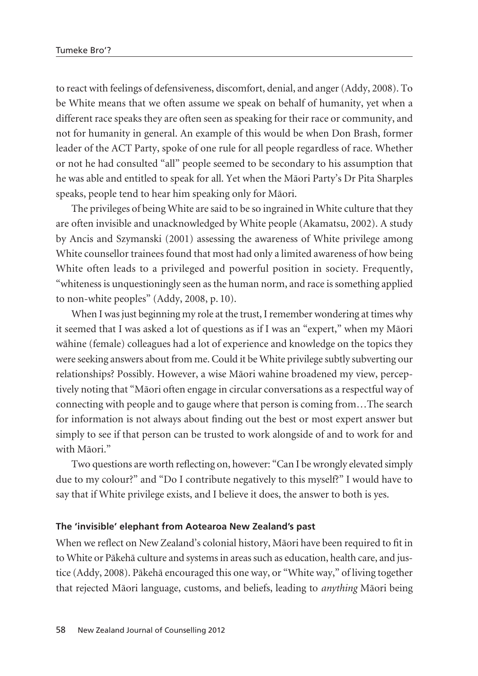to react with feelings of defensiveness, discomfort, denial, and anger (Addy, 2008). To be White means that we often assume we speak on behalf of humanity, yet when a different race speaks they are often seen as speaking for their race or community, and not for humanity in general. An example of this would be when Don Brash, former leader of the ACT Party, spoke of one rule for all people regardless of race. Whether or not he had consulted "all" people seemed to be secondary to his assumption that he was able and entitled to speak for all. Yet when the Mäori Party's Dr Pita Sharples speaks, people tend to hear him speaking only for Mäori.

The privileges of being White are said to be so ingrained in White culture that they are often invisible and unacknowledged by White people (Akamatsu, 2002). A study by Ancis and Szymanski (2001) assessing the awareness of White privilege among White counsellor trainees found that most had only a limited awareness of how being White often leads to a privileged and powerful position in society. Frequently, "whiteness is unquestioningly seen as the human norm, and race is something applied to non-white peoples" (Addy, 2008, p. 10).

When I was just beginning my role at the trust, I remember wondering at times why it seemed that I was asked a lot of questions as if I was an "expert," when my Mäori wähine (female) colleagues had a lot of experience and knowledge on the topics they were seeking answers about from me. Could it be White privilege subtly subverting our relationships? Possibly. However, a wise Mäori wahine broadened my view, percep tively noting that "Mäori often engage in circular conversations as a respectful way of connecting with people and to gauge where that person is coming from…The search for information is not always about finding out the best or most expert answer but simply to see if that person can be trusted to work alongside of and to work for and with Mäori."

Two questions are worth reflecting on, however: "Can I be wrongly elevated simply due to my colour?" and "Do I contribute negatively to this myself?" I would have to say that if White privilege exists, and I believe it does, the answer to both is yes.

#### **The 'invisible' elephant from Aotearoa New Zealand's past**

When we reflect on New Zealand's colonial history, Mäori have been required to fit in to White or Päkehä culture and systems in areas such as education, health care, and justice (Addy, 2008). Päkehä encouraged this one way, or "White way," of living together that rejected Mäori language, customs, and beliefs, leading to *anything* Mäori being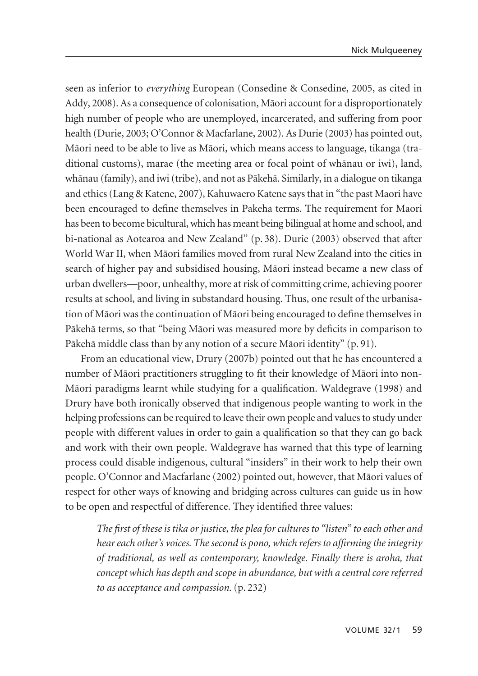seen as inferior to *everything* European (Consedine & Consedine, 2005, as cited in Addy, 2008). As a consequence of colonisation, Mäori account for a disproportionately high number of people who are unemployed, incarcerated, and suffering from poor health (Durie, 2003; O'Connor & Macfarlane, 2002). As Durie (2003) has pointed out, Mäori need to be able to live as Mäori, which means access to language, tikanga (traditional customs), marae (the meeting area or focal point of whänau or iwi), land, whänau (family), and iwi (tribe), and not as Päkehä. Similarly, in a dialogue on tikanga and ethics (Lang & Katene, 2007), Kahuwaero Katene says that in "the past Maori have been encouraged to define themselves in Pakeha terms. The requirement for Maori has been to become bicultural, which has meant being bilingual at home and school, and bi-national as Aotearoa and New Zealand" (p. 38). Durie (2003) observed that after World War II, when Mäori families moved from rural New Zealand into the cities in search of higher pay and subsidised housing, Mäori instead became a new class of urban dwellers—poor, unhealthy, more at risk of committing crime, achieving poorer results at school, and living in substandard housing. Thus, one result of the urbanisation of Mäori was the continuation of Mäori being encouraged to define themselves in Päkehä terms, so that "being Mäori was measured more by deficits in comparison to Päkehä middle class than by any notion of a secure Mäori identity" (p. 91).

From an educational view, Drury (2007b) pointed out that he has encountered a number of Mäori practitioners struggling to fit their knowledge of Mäori into non-Mäori paradigms learnt while studying for a qualification. Waldegrave (1998) and Drury have both ironically observed that indigenous people wanting to work in the helping professions can be required to leave their own people and values to study under people with different values in order to gain a qualification so that they can go back and work with their own people. Waldegrave has warned that this type of learning process could disable indigenous, cultural "insiders" in their work to help their own people. O'Connor and Macfarlane (2002) pointed out, however, that Mäori values of respect for other ways of knowing and bridging across cultures can guide us in how to be open and respectful of difference. They identified three values:

*The first of these is tika or justice, the plea for cultures to "listen" to each other and hear each other's voices. The second is pono, which refers to affirming the integrity of traditional, as well as contemporary, knowledge. Finally there is aroha, that concept which has depth and scope in abundance, but with a central core referred to as acceptance and compassion.* (p. 232)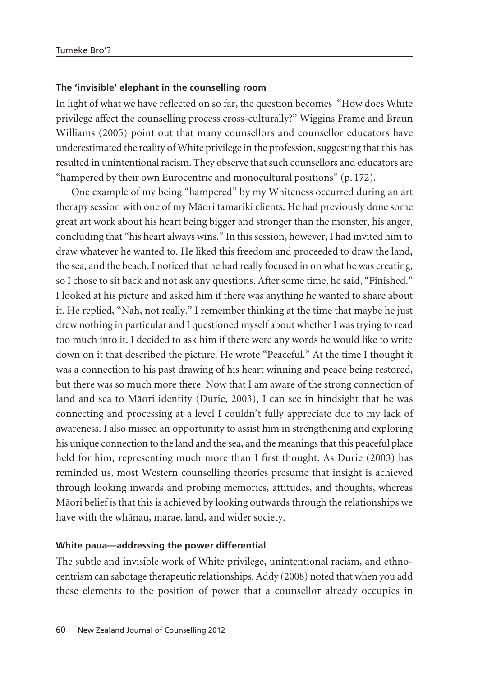#### **The 'invisible' elephant in the counselling room**

In light of what we have reflected on so far, the question becomes "How does White privilege affect the counselling process cross-culturally?" Wiggins Frame and Braun Williams (2005) point out that many counsellors and counsellor educators have underestimated the reality of White privilege in the profession, suggesting that this has resulted in unintentional racism. They observe that such counsellors and educators are "hampered by their own Eurocentric and monocultural positions" (p. 172).

One example of my being "hampered" by my Whiteness occurred during an art therapy session with one of my Mäori tamariki clients. He had previously done some great art work about his heart being bigger and stronger than the monster, his anger, concluding that "his heart always wins." In this session, however, I had invited him to draw whatever he wanted to. He liked this freedom and proceeded to draw the land, the sea, and the beach. I noticed that he had really focused in on what he was creating, so I chose to sit back and not ask any questions. After some time, he said, "Finished." I looked at his picture and asked him if there was anything he wanted to share about it. He replied, "Nah, not really." I remember thinking at the time that maybe he just drew nothing in particular and I questioned myself about whether I was trying to read too much into it. I decided to ask him if there were any words he would like to write down on it that described the picture. He wrote "Peaceful." At the time I thought it was a connection to his past drawing of his heart winning and peace being restored, but there was so much more there. Now that I am aware of the strong connection of land and sea to Mäori identity (Durie, 2003), I can see in hindsight that he was connecting and processing at a level I couldn't fully appreciate due to my lack of awareness. I also missed an opportunity to assist him in strengthening and exploring his unique connection to the land and the sea, and the meanings that this peaceful place held for him, representing much more than I first thought. As Durie (2003) has reminded us, most Western counselling theories presume that insight is achieved through looking inwards and probing memories, attitudes, and thoughts, whereas Mäori belief is that this is achieved by looking outwards through the relationships we have with the whänau, marae, land, and wider society.

#### **White paua—addressing the power differential**

The subtle and invisible work of White privilege, unintentional racism, and ethno centrism can sabotage therapeutic relationships. Addy (2008) noted that when you add these elements to the position of power that a counsellor already occupies in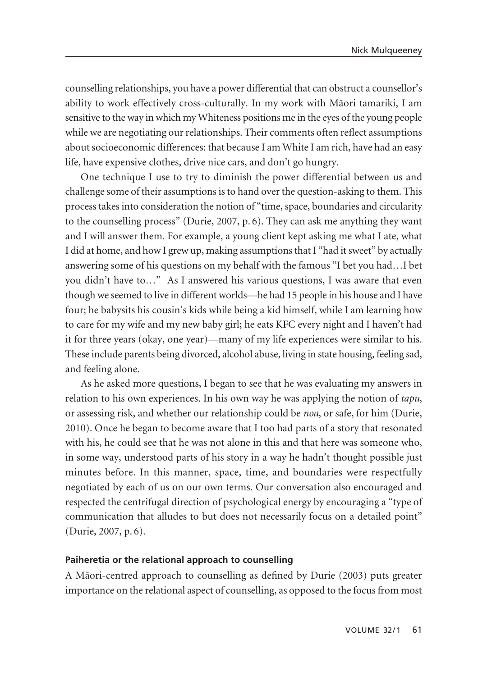counselling relationships, you have a power differential that can obstruct a counsellor's ability to work effectively cross-culturally. In my work with Mäori tamariki, I am sensitive to the way in which my Whiteness positions me in the eyes of the young people while we are negotiating our relationships. Their comments often reflect assumptions about socioeconomic differences: that because I am White I am rich, have had an easy life, have expensive clothes, drive nice cars, and don't go hungry.

One technique I use to try to diminish the power differential between us and challenge some of their assumptions is to hand over the question-asking to them. This process takes into consideration the notion of "time, space, boundaries and circularity to the counselling process" (Durie, 2007, p. 6). They can ask me anything they want and I will answer them. For example, a young client kept asking me what I ate, what I did at home, and how I grew up, making assumptions that I "had it sweet" by actually answering some of his questions on my behalf with the famous "I bet you had…I bet you didn't have to…" As I answered his various questions, I was aware that even though we seemed to live in different worlds—he had 15 people in his house and I have four; he babysits his cousin's kids while being a kid himself, while I am learning how to care for my wife and my new baby girl; he eats KFC every night and I haven't had it for three years (okay, one year)—many of my life experiences were similar to his. These include parents being divorced, alcohol abuse, living in state housing, feeling sad, and feeling alone.

As he asked more questions, I began to see that he was evaluating my answers in relation to his own experiences. In his own way he was applying the notion of *tapu*, or assessing risk, and whether our relationship could be *noa*, or safe, for him (Durie, 2010). Once he began to become aware that I too had parts of a story that resonated with his, he could see that he was not alone in this and that here was someone who, in some way, understood parts of his story in a way he hadn't thought possible just minutes before. In this manner, space, time, and boundaries were respectfully negotiated by each of us on our own terms. Our conversation also encouraged and respected the centrifugal direction of psychological energy by encouraging a "type of communication that alludes to but does not necessarily focus on a detailed point" (Durie, 2007, p. 6).

#### **Paiheretia or the relational approach to counselling**

A Mäori-centred approach to counselling as defined by Durie (2003) puts greater importance on the relational aspect of counselling, as opposed to the focus from most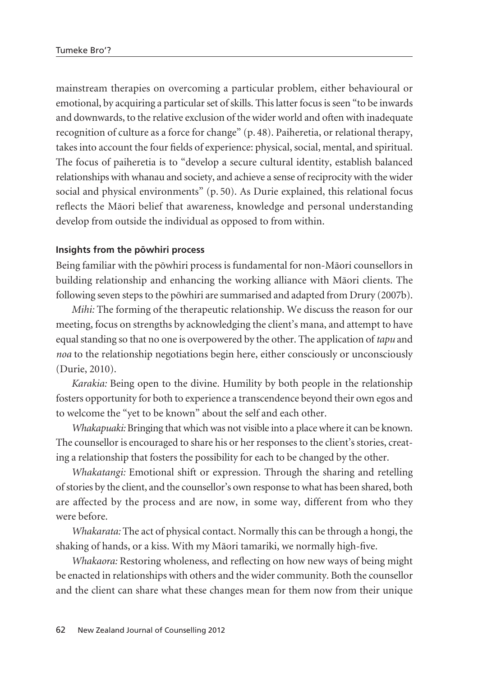mainstream therapies on overcoming a particular problem, either behavioural or emotional, by acquiring a particular set of skills. This latter focus is seen "to be inwards and downwards, to the relative exclusion of the wider world and often with inadequate recognition of culture as a force for change" (p. 48). Paiheretia, or relational therapy, takes into account the four fields of experience: physical, social, mental, and spiritual. The focus of paiheretia is to "develop a secure cultural identity, establish balanced relationships with whanau and society, and achieve a sense of reciprocity with the wider social and physical environments" (p. 50). As Durie explained, this relational focus reflects the Mäori belief that awareness, knowledge and personal understanding develop from outside the individual as opposed to from within.

#### **Insights from the pöwhiri process**

Being familiar with the pöwhiri process is fundamental for non-Mäori counsellors in building relationship and enhancing the working alliance with Mäori clients. The following seven steps to the pöwhiri are summarised and adapted from Drury (2007b).

*Mihi:* The forming of the therapeutic relationship. We discuss the reason for our meeting, focus on strengths by acknowledging the client's mana, and attempt to have equal standing so that no one is overpowered by the other. The application of *tapu* and *noa* to the relationship negotiations begin here, either consciously or unconsciously (Durie, 2010).

*Karakia:* Being open to the divine. Humility by both people in the relationship fosters opportunity for both to experience a transcendence beyond their own egos and to welcome the "yet to be known" about the self and each other.

*Whakapuaki:* Bringing that which was not visible into a place where it can be known. The counsellor is encouraged to share his or her responses to the client's stories, creating a relationship that fosters the possibility for each to be changed by the other.

*Whakatangi:* Emotional shift or expression. Through the sharing and retelling of stories by the client, and the counsellor's own response to what has been shared, both are affected by the process and are now, in some way, different from who they were before.

*Whakarata:* The act of physical contact. Normally this can be through a hongi, the shaking of hands, or a kiss. With my Mäori tamariki, we normally high-five.

*Whakaora:* Restoring wholeness, and reflecting on how new ways of being might be enacted in relationships with others and the wider community. Both the counsellor and the client can share what these changes mean for them now from their unique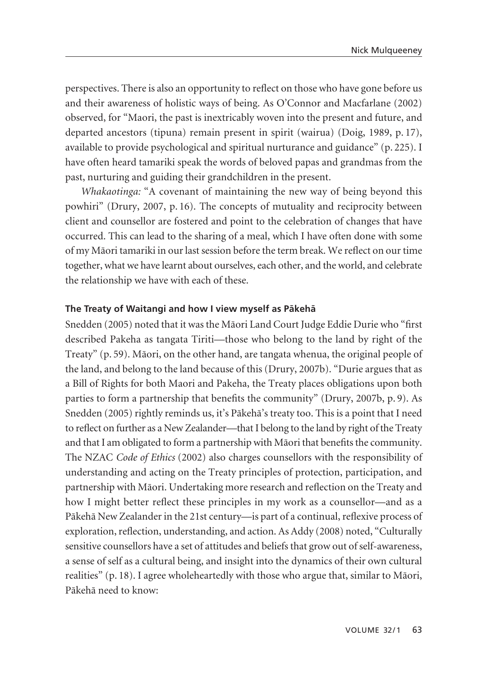perspectives. There is also an opportunity to reflect on those who have gone before us and their awareness of holistic ways of being. As O'Connor and Macfarlane (2002) observed, for "Maori, the past is inextricably woven into the present and future, and departed ancestors (tipuna) remain present in spirit (wairua) (Doig, 1989, p. 17), available to provide psychological and spiritual nurturance and guidance" (p. 225). I have often heard tamariki speak the words of beloved papas and grandmas from the past, nurturing and guiding their grandchildren in the present.

*Whakaotinga:* "A covenant of maintaining the new way of being beyond this powhiri" (Drury, 2007, p. 16). The concepts of mutuality and reciprocity between client and counsellor are fostered and point to the celebration of changes that have occurred. This can lead to the sharing of a meal, which I have often done with some of my Mäori tamariki in our last session before the term break. We reflect on our time together, what we have learnt about ourselves, each other, and the world, and celebrate the relationship we have with each of these.

#### **The Treaty of Waitangi and how I view myself as Päkehä**

Snedden (2005) noted that it was the Mäori Land Court Judge Eddie Durie who "first described Pakeha as tangata Tiriti—those who belong to the land by right of the Treaty" (p. 59). Mäori, on the other hand, are tangata whenua, the original people of the land, and belong to the land because of this (Drury, 2007b). "Durie argues that as a Bill of Rights for both Maori and Pakeha, the Treaty places obligations upon both parties to form a partnership that benefits the community" (Drury, 2007b, p. 9). As Snedden (2005) rightly reminds us, it's Päkehä's treaty too. This is a point that I need to reflect on further as a New Zealander—that I belong to the land by right of the Treaty and that I am obligated to form a partnership with Mäori that benefits the community. The NZAC *Code of Ethics* (2002) also charges counsellors with the responsibility of understanding and acting on the Treaty principles of protection, participation, and partnership with Mäori. Undertaking more research and reflection on the Treaty and how I might better reflect these principles in my work as a counsellor—and as a Päkehä New Zealander in the 21st century—is part of a continual, reflexive process of exploration, reflection, understanding, and action. As Addy (2008) noted, "Culturally sensitive counsellors have a set of attitudes and beliefs that grow out of self-awareness, a sense of self as a cultural being, and insight into the dynamics of their own cultural realities" (p. 18). I agree wholeheartedly with those who argue that, similar to Mäori, Päkehä need to know: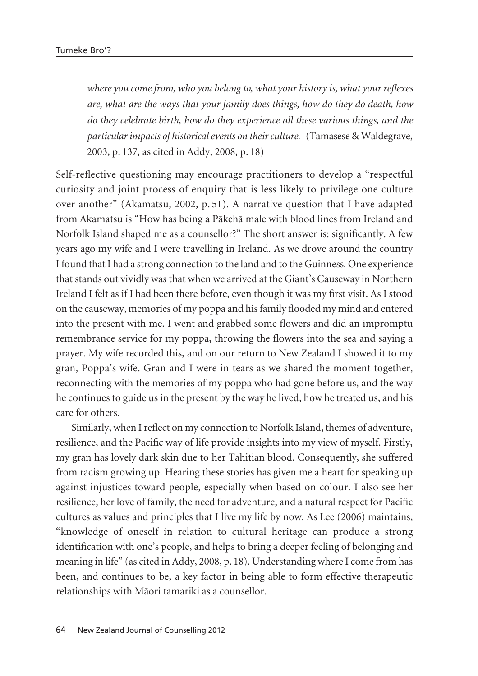*where you come from, who you belong to, what your history is, what your reflexes are, what are the ways that your family does things, how do they do death, how do they celebrate birth, how do they experience all these various things, and the particular impacts of historical events on their culture.* (Tamasese & Waldegrave, 2003, p. 137, as cited in Addy, 2008, p. 18)

Self-reflective questioning may encourage practitioners to develop a "respectful curiosity and joint process of enquiry that is less likely to privilege one culture over another" (Akamatsu, 2002, p. 51). A narrative question that I have adapted from Akamatsu is "How has being a Päkehä male with blood lines from Ireland and Norfolk Island shaped me as a counsellor?" The short answer is: significantly. A few years ago my wife and I were travelling in Ireland. As we drove around the country I found that I had a strong connection to the land and to the Guinness. One experience that stands out vividly was that when we arrived at the Giant's Causeway in Northern Ireland I felt as if I had been there before, even though it was my first visit. As I stood on the causeway, memories of my poppa and his family flooded my mind and entered into the present with me. I went and grabbed some flowers and did an impromptu remembrance service for my poppa, throwing the flowers into the sea and saying a prayer. My wife recorded this, and on our return to New Zealand I showed it to my gran, Poppa's wife. Gran and I were in tears as we shared the moment together, reconnecting with the memories of my poppa who had gone before us, and the way he continues to guide us in the present by the way he lived, how he treated us, and his care for others.

Similarly, when I reflect on my connection to Norfolk Island, themes of adventure, resilience, and the Pacific way of life provide insights into my view of myself. Firstly, my gran has lovely dark skin due to her Tahitian blood. Consequently, she suffered from racism growing up. Hearing these stories has given me a heart for speaking up against injustices toward people, especially when based on colour. I also see her resilience, her love of family, the need for adventure, and a natural respect for Pacific cultures as values and principles that I live my life by now. As Lee (2006) maintains, "knowledge of oneself in relation to cultural heritage can produce a strong identification with one's people, and helps to bring a deeper feeling of belonging and meaning in life" (as cited in Addy, 2008, p. 18). Understanding where I come from has been, and continues to be, a key factor in being able to form effective therapeutic relationships with Mäori tamariki as a counsellor.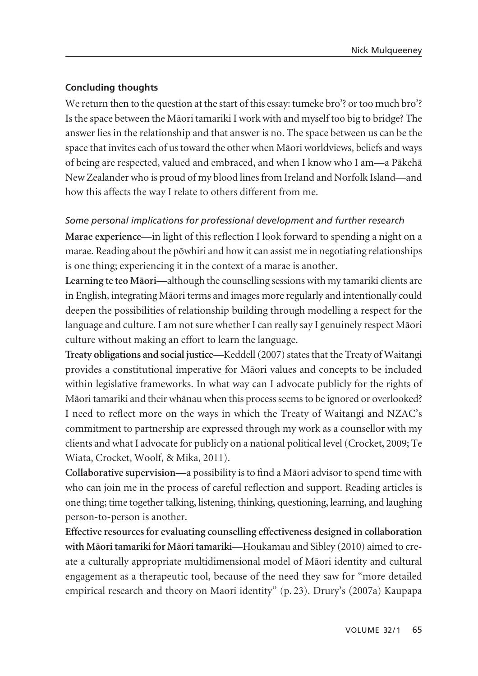### **Concluding thoughts**

We return then to the question at the start of this essay: tumeke bro'? or too much bro'? Is the space between the Mäori tamariki I work with and myself too big to bridge? The answer lies in the relationship and that answer is no. The space between us can be the space that invites each of us toward the other when Mäori worldviews, beliefs and ways of being are respected, valued and embraced, and when I know who I am—a Päkehä New Zealander who is proud of my blood lines from Ireland and Norfolk Island—and how this affects the way I relate to others different from me.

## *Some personal implications for professional development and further research*

**Marae experience—**in light of this reflection I look forward to spending a night on a marae. Reading about the pöwhiri and how it can assist me in negotiating relationships is one thing; experiencing it in the context of a marae is another.

**Learning te teo Mäori—**although the counselling sessions with my tamariki clients are in English, integrating Mäori terms and images more regularly and intentionally could deepen the possibilities of relationship building through modelling a respect for the language and culture. I am not sure whether I can really say I genuinely respect Mäori culture without making an effort to learn the language.

**Treaty obligations and social justice—**Keddell (2007) states that the Treaty of Waitangi provides a constitutional imperative for Mäori values and concepts to be included within legislative frameworks. In what way can I advocate publicly for the rights of Mäori tamariki and their whänau when this process seems to be ignored or overlooked? I need to reflect more on the ways in which the Treaty of Waitangi and NZAC's commitment to partnership are expressed through my work as a counsellor with my clients and what I advocate for publicly on a national political level (Crocket, 2009; Te Wiata, Crocket, Woolf, & Mika, 2011).

**Collaborative supervision—**a possibility is to find a Mäori advisor to spend time with who can join me in the process of careful reflection and support. Reading articles is one thing; time together talking, listening, thinking, questioning, learning, and laughing person-to-person is another.

**Effective resources for evaluating counselling effectiveness designed in collaboration with Mäori tamariki for Mäori tamariki**—Houkamau and Sibley (2010) aimed to create a culturally appropriate multidimensional model of Mäori identity and cultural engagement as a therapeutic tool, because of the need they saw for "more detailed empirical research and theory on Maori identity" (p. 23). Drury's (2007a) Kaupapa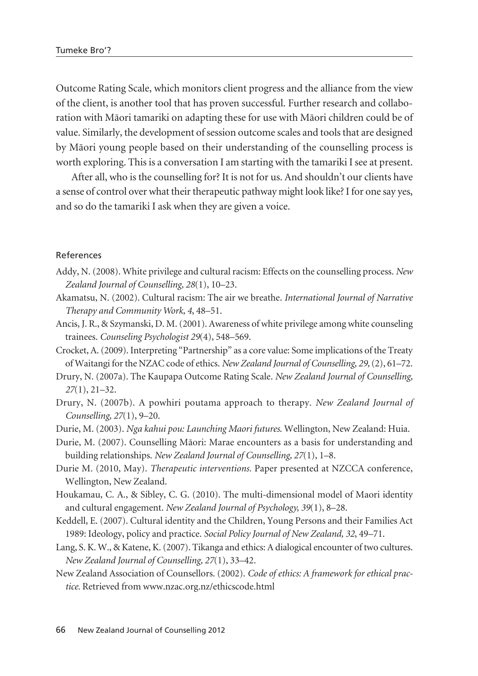Outcome Rating Scale, which monitors client progress and the alliance from the view of the client, is another tool that has proven successful. Further research and collaboration with Mäori tamariki on adapting these for use with Mäori children could be of value. Similarly, the development of session outcome scales and tools that are designed by Mäori young people based on their understanding of the counselling process is worth exploring. This is a conversation I am starting with the tamariki I see at present.

After all, who is the counselling for? It is not for us. And shouldn't our clients have a sense of control over what their therapeutic pathway might look like? I for one say yes, and so do the tamariki I ask when they are given a voice.

#### References

- Addy, N. (2008). White privilege and cultural racism: Effects on the counselling process. *New Zealand Journal of Counselling, 28*(1), 10–23.
- Akamatsu, N. (2002). Cultural racism: The air we breathe. *International Journal of Narrative Therapy and Community Work, 4*, 48–51.
- Ancis, J. R., & Szymanski, D. M. (2001). Awareness of white privilege among white counseling trainees. *Counseling Psychologist 29*(4), 548–569.
- Crocket, A. (2009). Interpreting "Partnership" as a core value: Some implications of the Treaty of Waitangi for the NZAC code of ethics. *New Zealand Journal of Counselling, 29,* (2), 61–72.
- Drury, N. (2007a). The Kaupapa Outcome Rating Scale. *New Zealand Journal of Counselling, 27*(1), 21–32.
- Drury, N. (2007b). A powhiri poutama approach to therapy. *New Zealand Journal of Counselling, 27*(1), 9–20.
- Durie, M. (2003). *Nga kahui pou: Launching Maori futures*. Wellington, New Zealand: Huia.
- Durie, M. (2007). Counselling Mäori: Marae encounters as a basis for understanding and building relationships. *New Zealand Journal of Counselling, 27*(1), 1–8.
- Durie M. (2010, May). *Therapeutic interventions.* Paper presented at NZCCA conference, Wellington, New Zealand.
- Houkamau, C. A., & Sibley, C. G. (2010). The multi-dimensional model of Maori identity and cultural engagement. *New Zealand Journal of Psychology, 39*(1), 8–28.
- Keddell, E. (2007). Cultural identity and the Children, Young Persons and their Families Act 1989: Ideology, policy and practice. *Social Policy Journal of New Zealand, 32*, 49–71.
- Lang, S. K. W., & Katene, K. (2007). Tikanga and ethics: A dialogical encounter of two cultures. *New Zealand Journal of Counselling, 27*(1), 33–42.
- New Zealand Association of Counsellors. (2002). *Code of ethics: A framework for ethical practice.* Retrieved from www.nzac.org.nz/ethicscode.html